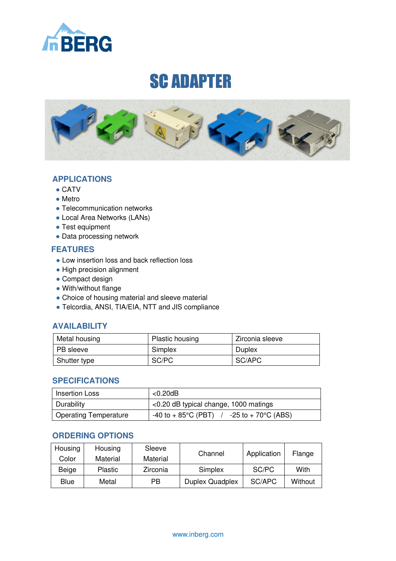

# SC ADAPTER



### **APPLICATIONS**

- $\bullet$  CATV
- Metro
- Telecommunication networks
- Local Area Networks (LANs)
- Test equipment
- Data processing network

### **FEATURES**

- Low insertion loss and back reflection loss
- High precision alignment
- Compact design
- With/without flange
- Choice of housing material and sleeve material
- Telcordia, ANSI, TIA/EIA, NTT and JIS compliance

## **AVAILABILITY**

| Metal housing    | <b>Plastic housing</b> | Zirconia sleeve |  |
|------------------|------------------------|-----------------|--|
| <b>PB</b> sleeve | Simplex                | Duplex          |  |
| Shutter type     | SC/PC                  | SC/APC          |  |

#### **SPECIFICATIONS**

| l Insertion Loss      | $<$ 0.20dB                                                        |  |
|-----------------------|-------------------------------------------------------------------|--|
| Durability            | $\leq$ 0.20 dB typical change, 1000 matings                       |  |
| Operating Temperature | $-40$ to $+85^{\circ}$ C (PBT) $/$ $-25$ to $+70^{\circ}$ C (ABS) |  |

## **ORDERING OPTIONS**

| Housing<br>Color | Housing<br>Material | Sleeve<br>Material | Channel                | Application | Flange  |
|------------------|---------------------|--------------------|------------------------|-------------|---------|
| Beige            | <b>Plastic</b>      | Zirconia           | Simplex                | SC/PC       | With    |
| Blue             | Metal               | РB                 | <b>Duplex Quadplex</b> | SC/APC      | Without |